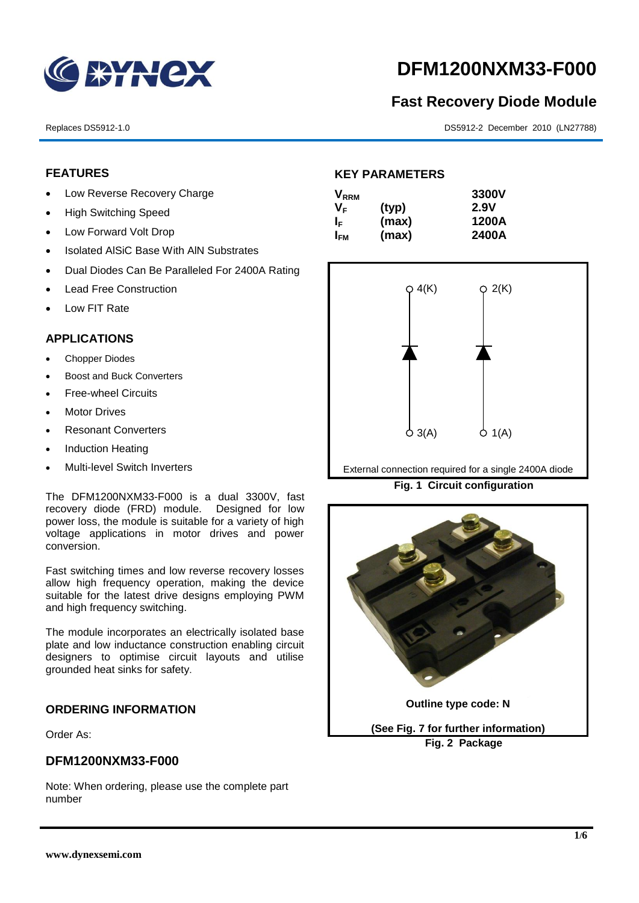

# **DFM1200NXM33-F000**

# **Fast Recovery Diode Module**

Replaces DS5912-1.0 DS5912-2 December 2010 (LN27788)

# **FEATURES**

- Low Reverse Recovery Charge
- High Switching Speed
- Low Forward Volt Drop
- Isolated AISiC Base With AIN Substrates
- Dual Diodes Can Be Paralleled For 2400A Rating
- Lead Free Construction
- Low FIT Rate

# **APPLICATIONS**

- Chopper Diodes
- Boost and Buck Converters
- Free-wheel Circuits
- Motor Drives
- Resonant Converters
- Induction Heating
- Multi-level Switch Inverters

The DFM1200NXM33-F000 is a dual 3300V, fast recovery diode (FRD) module. Designed for low power loss, the module is suitable for a variety of high voltage applications in motor drives and power conversion.

Fast switching times and low reverse recovery losses allow high frequency operation, making the device suitable for the latest drive designs employing PWM and high frequency switching.

The module incorporates an electrically isolated base plate and low inductance construction enabling circuit designers to optimise circuit layouts and utilise grounded heat sinks for safety.

### **ORDERING INFORMATION**

Order As:

### **DFM1200NXM33-F000**

Note: When ordering, please use the complete part number

# **KEY PARAMETERS**

| $\mathsf{V}_{\mathsf{RRM}}$ |       | 3300V |
|-----------------------------|-------|-------|
| VF.                         | (typ) | 2.9V  |
| ΙF                          | (max) | 1200A |
| I <sub>FМ</sub>             | (max) | 2400A |



External connection required for a single 2400A diode

**Fig. 1 Circuit configuration**

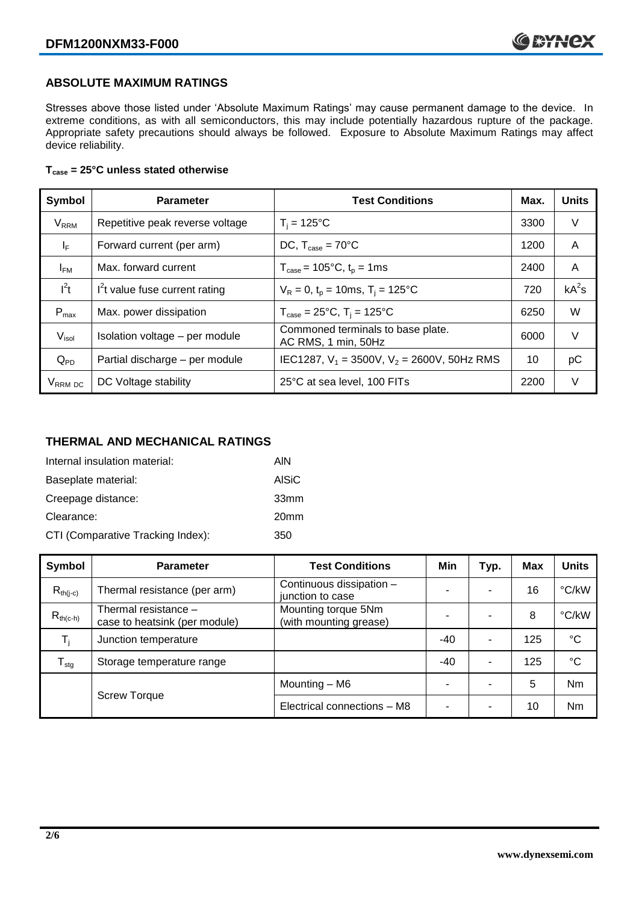# **ABSOLUTE MAXIMUM RATINGS**

Stresses above those listed under 'Absolute Maximum Ratings' may cause permanent damage to the device. In extreme conditions, as with all semiconductors, this may include potentially hazardous rupture of the package. Appropriate safety precautions should always be followed. Exposure to Absolute Maximum Ratings may affect device reliability.

### **Tcase = 25°C unless stated otherwise**

| Symbol                 | <b>Parameter</b>                | <b>Test Conditions</b>                                   | Max. | <b>Units</b> |
|------------------------|---------------------------------|----------------------------------------------------------|------|--------------|
| <b>V<sub>RRM</sub></b> | Repetitive peak reverse voltage | $T_i = 125$ °C                                           | 3300 | V            |
| $I_F$                  | Forward current (per arm)       | DC, $T_{case} = 70^{\circ}$ C                            |      | A            |
| $I_{FM}$               | Max. forward current            | $T_{\text{case}} = 105^{\circ}C, t_{p} = 1ms$            | 2400 | A            |
| $I^2t$                 | $I2t$ value fuse current rating | $V_R = 0$ , $t_p = 10$ ms, $T_i = 125$ °C                | 720  | $kA^2s$      |
| $P_{max}$              | Max. power dissipation          | $T_{\text{case}} = 25^{\circ}C$ , $T_i = 125^{\circ}C$   | 6250 | W            |
| $V_{\sf isol}$         | Isolation voltage - per module  | Commoned terminals to base plate.<br>AC RMS, 1 min, 50Hz | 6000 | $\vee$       |
| $Q_{PD}$               | Partial discharge - per module  | IEC1287, $V_1$ = 3500V, $V_2$ = 2600V, 50Hz RMS          | 10   | рC           |
| V <sub>RRM</sub> DC    | DC Voltage stability            | 25°C at sea level, 100 FITs                              | 2200 | V            |

# **THERMAL AND MECHANICAL RATINGS**

| Internal insulation material:     | AIN              |
|-----------------------------------|------------------|
| Baseplate material:               | AISiC            |
| Creepage distance:                | 33mm             |
| Clearance:                        | 20 <sub>mm</sub> |
| CTI (Comparative Tracking Index): | 350              |

| Symbol                     | <b>Parameter</b>                                      | <b>Test Conditions</b>                        | Min | Typ. | Max | <b>Units</b>    |
|----------------------------|-------------------------------------------------------|-----------------------------------------------|-----|------|-----|-----------------|
| $R_{th(i-c)}$              | Thermal resistance (per arm)                          | Continuous dissipation -<br>junction to case  | -   |      | 16  | °C/kW           |
| $R_{th(c-h)}$              | Thermal resistance -<br>case to heatsink (per module) | Mounting torque 5Nm<br>(with mounting grease) |     |      | 8   | °C/kW           |
| T,                         | Junction temperature                                  |                                               | -40 | ۰    | 125 | $\rm ^{\circ}C$ |
| ${\mathsf T}_{\text{stg}}$ | Storage temperature range                             |                                               | -40 | ۰    | 125 | $^{\circ}C$     |
|                            | <b>Screw Torque</b>                                   | Mounting - M6                                 | ۰   |      | 5   | Nm              |
|                            |                                                       | Electrical connections - M8                   | ۰   |      | 10  | <b>Nm</b>       |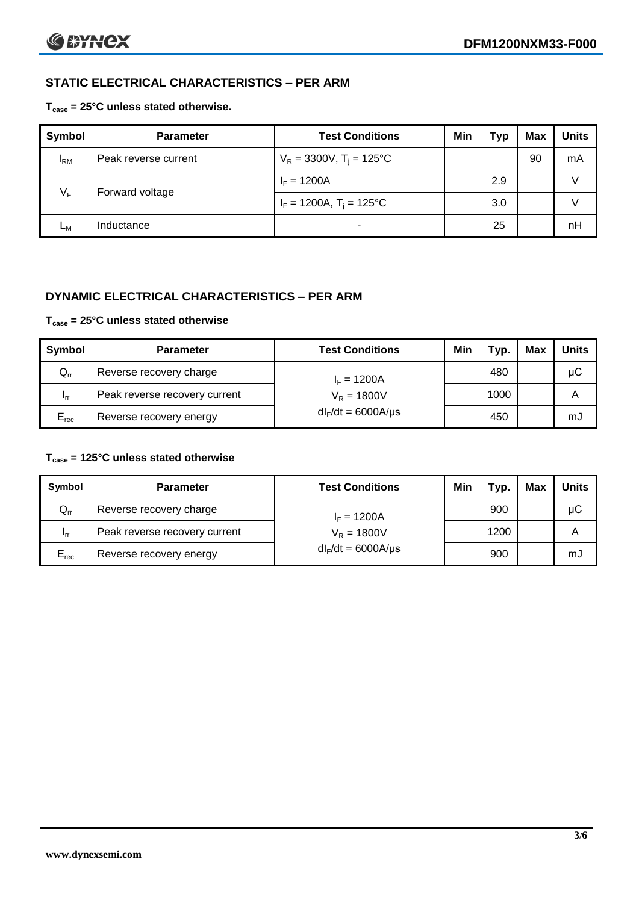# **STATIC ELECTRICAL CHARACTERISTICS – PER ARM**

### **Tcase = 25°C unless stated otherwise.**

| <b>Symbol</b> | <b>Parameter</b>     | <b>Test Conditions</b>                 | Min | Typ | <b>Max</b> | <b>Units</b> |
|---------------|----------------------|----------------------------------------|-----|-----|------------|--------------|
| $I_{\rm RM}$  | Peak reverse current | $V_R = 3300V$ , T <sub>i</sub> = 125°C |     |     | 90         | mA           |
| $V_F$         | Forward voltage      | $I_F = 1200A$                          |     | 2.9 |            | v            |
|               |                      | $I_F = 1200A$ , $T_i = 125^{\circ}C$   |     | 3.0 |            | v            |
| Lм            | Inductance           |                                        |     | 25  |            | nH           |

# **DYNAMIC ELECTRICAL CHARACTERISTICS – PER ARM**

#### **Tcase = 25°C unless stated otherwise**

| Symbol          | <b>Parameter</b>              | <b>Test Conditions</b>  | Min | Typ. | Max | <b>Units</b> |
|-----------------|-------------------------------|-------------------------|-----|------|-----|--------------|
| $Q_{rr}$        | Reverse recovery charge       | $I_F = 1200A$           |     | 480  |     | μC           |
| 1 <sub>rr</sub> | Peak reverse recovery current | $V_R = 1800V$           |     | 1000 |     | A            |
| $E_{rec}$       | Reverse recovery energy       | $dl_F/dt = 6000A/\mu s$ |     | 450  |     | mJ           |

## **Tcase = 125°C unless stated otherwise**

| Symbol                     | <b>Parameter</b>              | <b>Test Conditions</b>  | Min | Typ. | Max | Units |
|----------------------------|-------------------------------|-------------------------|-----|------|-----|-------|
| $\mathsf{Q}_{\mathsf{rr}}$ | Reverse recovery charge       | $I_F = 1200A$           |     | 900  |     | μC    |
| - Irr                      | Peak reverse recovery current | $V_R = 1800V$           |     | 1200 |     | А     |
| $E_{rec}$                  | Reverse recovery energy       | $dl_F/dt = 6000A/\mu s$ |     | 900  |     | mJ    |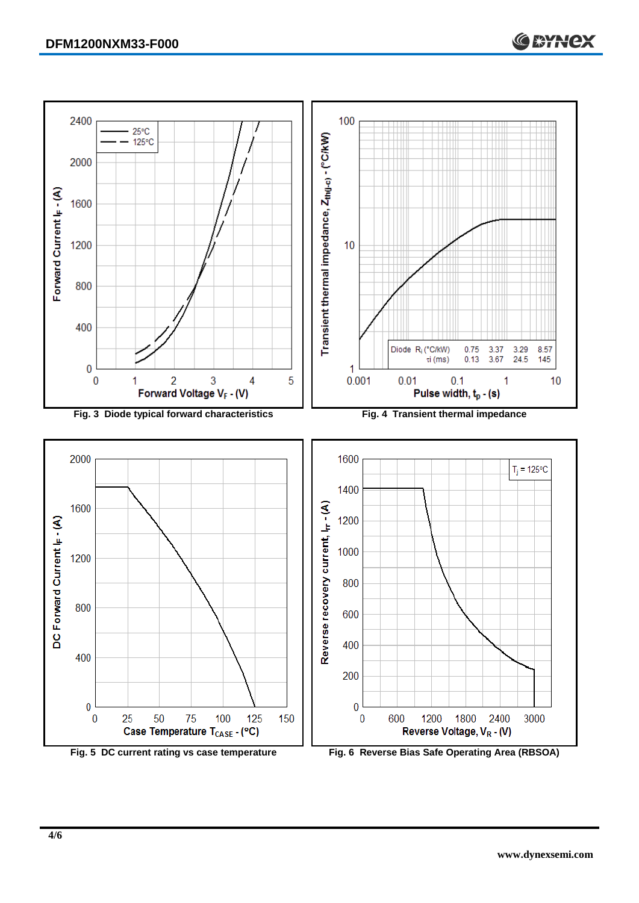Forward Current (- (A)



400

200

 $\overline{0}$ 

 $\bf{0}$ 

600





Reverse Voltage, VR - (V)

1800

2400

3000

1200

**CEYNEX**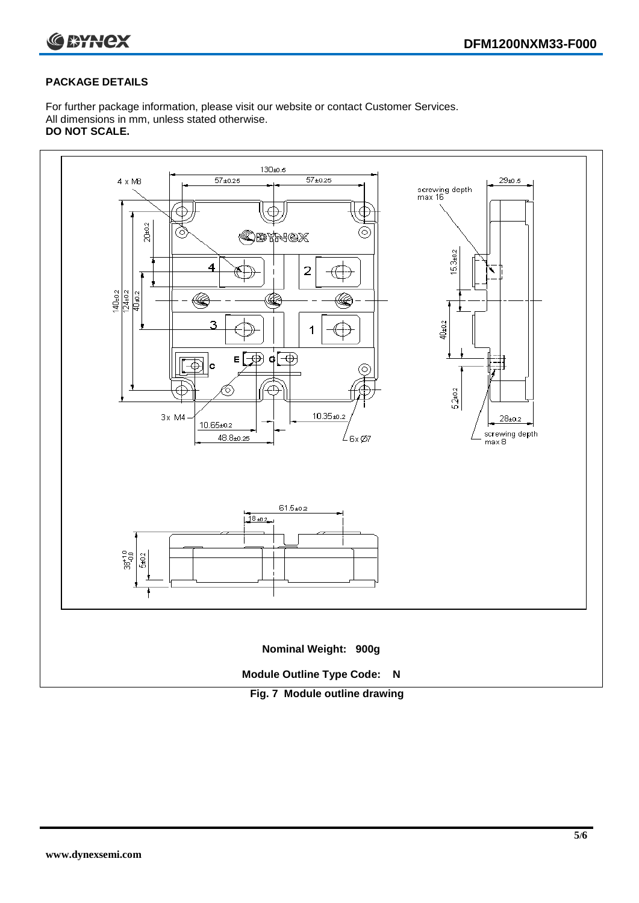

### **PACKAGE DETAILS**

For further package information, please visit our website or contact Customer Services. All dimensions in mm, unless stated otherwise. **DO NOT SCALE.**